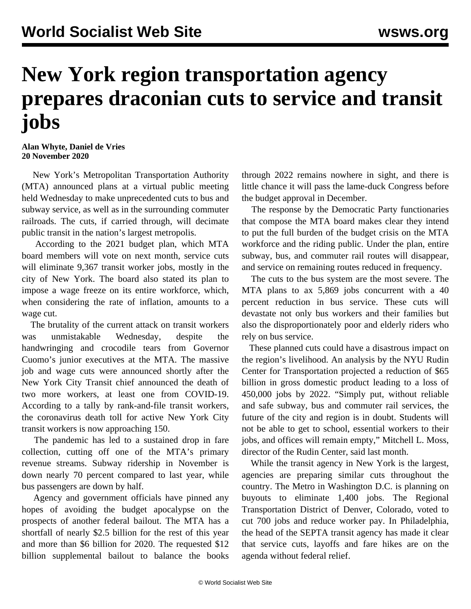## **New York region transportation agency prepares draconian cuts to service and transit jobs**

**Alan Whyte, Daniel de Vries 20 November 2020**

 New York's Metropolitan Transportation Authority (MTA) announced plans at a virtual public meeting held Wednesday to make unprecedented cuts to bus and subway service, as well as in the surrounding commuter railroads. The cuts, if carried through, will decimate public transit in the nation's largest metropolis.

 According to the 2021 budget plan, which MTA board members will vote on next month, service cuts will eliminate 9,367 transit worker jobs, mostly in the city of New York. The board also stated its plan to impose a wage freeze on its entire workforce, which, when considering the rate of inflation, amounts to a wage cut.

 The brutality of the current attack on transit workers was unmistakable Wednesday, despite the handwringing and crocodile tears from Governor Cuomo's junior executives at the MTA. The massive job and wage cuts were announced shortly after the New York City Transit chief announced the death of two more workers, at least one from COVID-19. According to a tally by rank-and-file transit workers, the coronavirus death toll for active New York City transit workers is now approaching 150.

 The pandemic has led to a sustained drop in fare collection, cutting off one of the MTA's primary revenue streams. Subway ridership in November is down nearly 70 percent compared to last year, while bus passengers are down by half.

 Agency and government officials have pinned any hopes of avoiding the budget apocalypse on the prospects of another federal bailout. The MTA has a shortfall of nearly \$2.5 billion for the rest of this year and more than \$6 billion for 2020. The requested \$12 billion supplemental bailout to balance the books

through 2022 remains nowhere in sight, and there is little chance it will pass the lame-duck Congress before the budget approval in December.

 The response by the Democratic Party functionaries that compose the MTA board makes clear they intend to put the full burden of the budget crisis on the MTA workforce and the riding public. Under the plan, entire subway, bus, and commuter rail routes will disappear, and service on remaining routes reduced in frequency.

 The cuts to the bus system are the most severe. The MTA plans to ax 5,869 jobs concurrent with a 40 percent reduction in bus service. These cuts will devastate not only bus workers and their families but also the disproportionately poor and elderly riders who rely on bus service.

 These planned cuts could have a disastrous impact on the region's livelihood. An analysis by the NYU Rudin Center for Transportation projected a reduction of \$65 billion in gross domestic product leading to a loss of 450,000 jobs by 2022. "Simply put, without reliable and safe subway, bus and commuter rail services, the future of the city and region is in doubt. Students will not be able to get to school, essential workers to their jobs, and offices will remain empty," Mitchell L. Moss, director of the Rudin Center, said last month.

 While the transit agency in New York is the largest, agencies are preparing similar cuts throughout the country. The Metro in Washington D.C. is planning on buyouts to eliminate 1,400 jobs. The Regional Transportation District of Denver, Colorado, voted to cut 700 jobs and reduce worker pay. In Philadelphia, the head of the SEPTA transit agency has made it clear that service cuts, layoffs and fare hikes are on the agenda without federal relief.